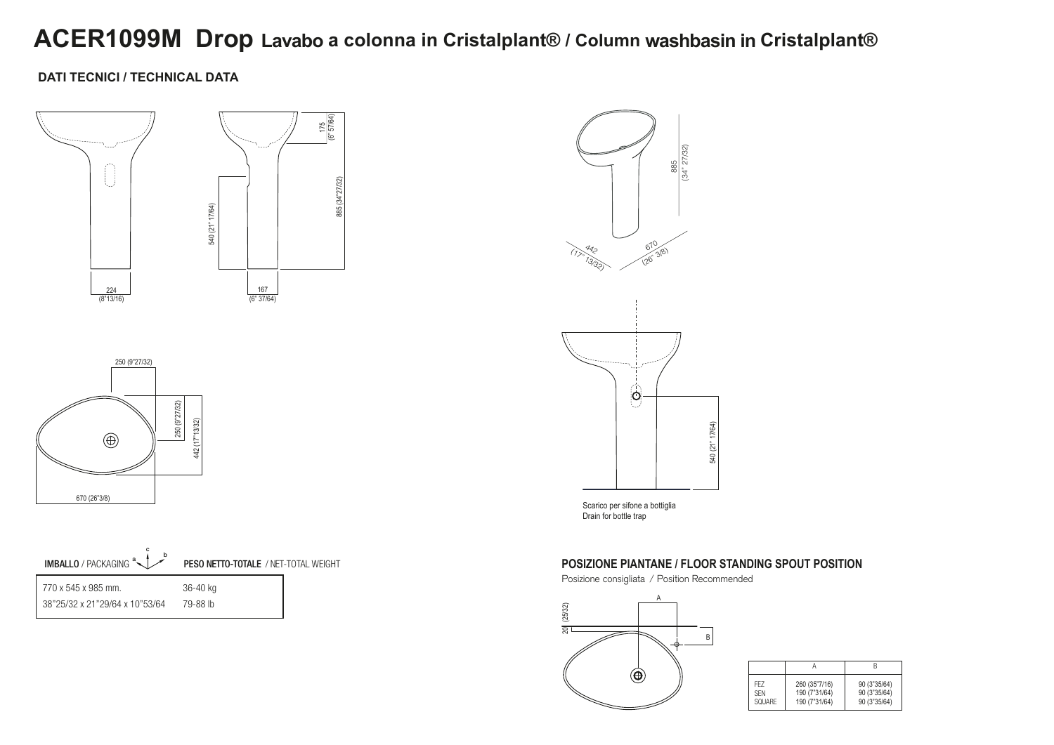# **ACER1099M Drop Lavabo a colonna in Cristalplant® / Column washbasin in Cristalplant®**

### **DATI TECNICI / TECHNICAL DATA**





Scarico per sifone a bottiglia Drain for bottle trap





#### **POSIZIONE PIANTANE / FLOOR STANDING SPOUT POSITION**

Posizione consigliata / Position Recommended



| FF7        | 260 (35"7/16) | 90 (3"35/64) |
|------------|---------------|--------------|
| <b>SFN</b> | 190 (7"31/64) | 90 (3"35/64) |
| SOUARE     | 190 (7"31/64) | 90 (3"35/64) |